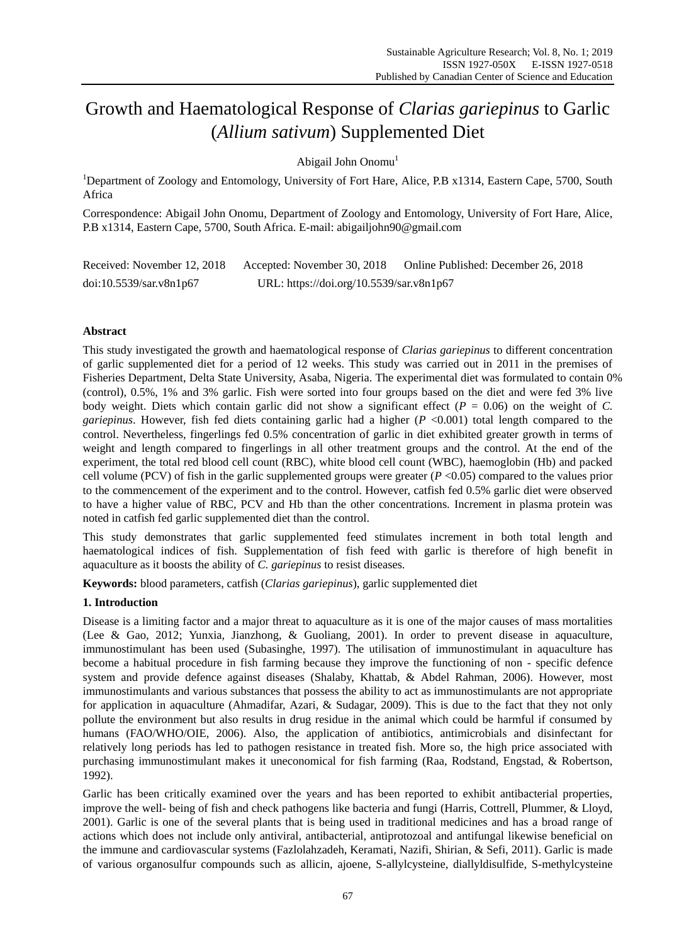# Growth and Haematological Response of *Clarias gariepinus* to Garlic (*Allium sativum*) Supplemented Diet

Abigail John Onomu<sup>1</sup>

<sup>1</sup>Department of Zoology and Entomology, University of Fort Hare, Alice, P.B x1314, Eastern Cape, 5700, South Africa

Correspondence: Abigail John Onomu, Department of Zoology and Entomology, University of Fort Hare, Alice, P.B x1314, Eastern Cape, 5700, South Africa. E-mail: [abigailjohn90@gmail.com](mailto:abigailjohn90@gmail.com)

| Received: November 12, 2018 | Accepted: November 30, 2018              | Online Published: December 26, 2018 |  |
|-----------------------------|------------------------------------------|-------------------------------------|--|
| doi:10.5539/sar.v8n1p67     | URL: https://doi.org/10.5539/sar.v8n1p67 |                                     |  |

# **Abstract**

This study investigated the growth and haematological response of *Clarias gariepinus* to different concentration of garlic supplemented diet for a period of 12 weeks. This study was carried out in 2011 in the premises of Fisheries Department, Delta State University, Asaba, Nigeria. The experimental diet was formulated to contain 0% (control), 0.5%, 1% and 3% garlic. Fish were sorted into four groups based on the diet and were fed 3% live body weight. Diets which contain garlic did not show a significant effect  $(P = 0.06)$  on the weight of *C*. *gariepinus*. However, fish fed diets containing garlic had a higher (*P* <0.001) total length compared to the control. Nevertheless, fingerlings fed 0.5% concentration of garlic in diet exhibited greater growth in terms of weight and length compared to fingerlings in all other treatment groups and the control. At the end of the experiment, the total red blood cell count (RBC), white blood cell count (WBC), haemoglobin (Hb) and packed cell volume (PCV) of fish in the garlic supplemented groups were greater (*P* <0.05) compared to the values prior to the commencement of the experiment and to the control. However, catfish fed 0.5% garlic diet were observed to have a higher value of RBC, PCV and Hb than the other concentrations. Increment in plasma protein was noted in catfish fed garlic supplemented diet than the control.

This study demonstrates that garlic supplemented feed stimulates increment in both total length and haematological indices of fish. Supplementation of fish feed with garlic is therefore of high benefit in aquaculture as it boosts the ability of *C. gariepinus* to resist diseases.

**Keywords:** blood parameters, catfish (*Clarias gariepinus*), garlic supplemented diet

## **1. Introduction**

Disease is a limiting factor and a major threat to aquaculture as it is one of the major causes of mass mortalities (Lee & Gao, 2012; Yunxia, Jianzhong, & Guoliang, 2001). In order to prevent disease in aquaculture, immunostimulant has been used (Subasinghe, 1997). The utilisation of immunostimulant in aquaculture has become a habitual procedure in fish farming because they improve the functioning of non - specific defence system and provide defence against diseases (Shalaby, Khattab, & Abdel Rahman, 2006). However, most immunostimulants and various substances that possess the ability to act as immunostimulants are not appropriate for application in aquaculture (Ahmadifar, Azari, & Sudagar, 2009). This is due to the fact that they not only pollute the environment but also results in drug residue in the animal which could be harmful if consumed by humans (FAO/WHO/OIE, 2006). Also, the application of antibiotics, antimicrobials and disinfectant for relatively long periods has led to pathogen resistance in treated fish. More so, the high price associated with purchasing immunostimulant makes it uneconomical for fish farming (Raa, Rodstand, Engstad, & Robertson, 1992).

Garlic has been critically examined over the years and has been reported to exhibit antibacterial properties, improve the well- being of fish and check pathogens like bacteria and fungi (Harris, Cottrell, Plummer, & Lloyd, 2001). Garlic is one of the several plants that is being used in traditional medicines and has a broad range of actions which does not include only antiviral, antibacterial, antiprotozoal and antifungal likewise beneficial on the immune and cardiovascular systems (Fazlolahzadeh, Keramati, Nazifi, Shirian, & Sefi, 2011). Garlic is made of various organosulfur compounds such as allicin, ajoene, S-allylcysteine, diallyldisulfide, S-methylcysteine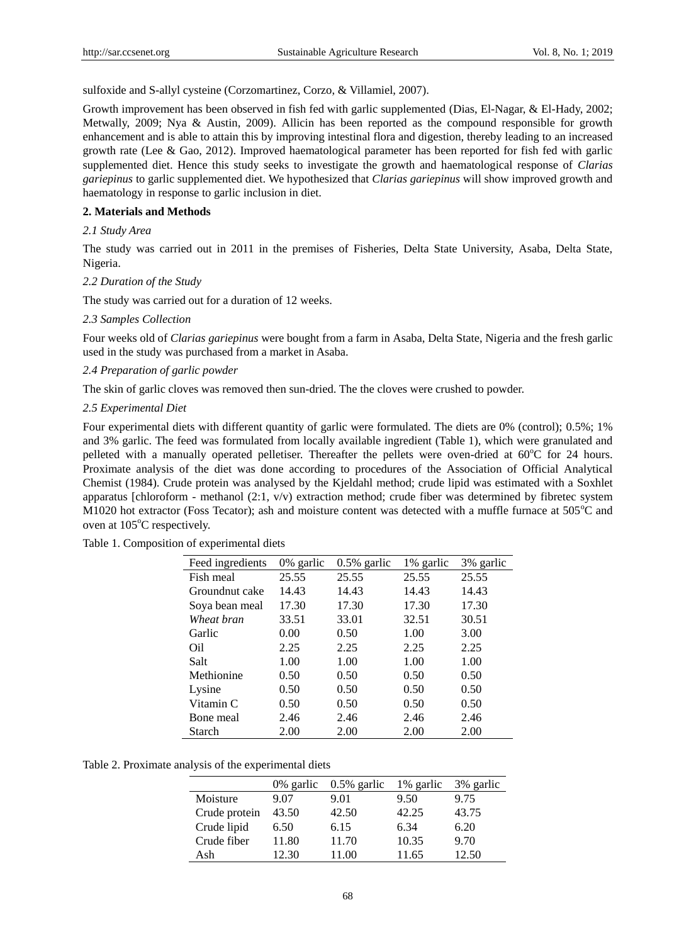sulfoxide and S-allyl cysteine (Corzomartinez, Corzo, & Villamiel, 2007).

Growth improvement has been observed in fish fed with garlic supplemented (Dias, El-Nagar, & El-Hady, 2002; Metwally, 2009; Nya & Austin, 2009). Allicin has been reported as the compound responsible for growth enhancement and is able to attain this by improving intestinal flora and digestion, thereby leading to an increased growth rate (Lee & Gao, 2012). Improved haematological parameter has been reported for fish fed with garlic supplemented diet. Hence this study seeks to investigate the growth and haematological response of *Clarias gariepinus* to garlic supplemented diet. We hypothesized that *Clarias gariepinus* will show improved growth and haematology in response to garlic inclusion in diet.

#### **2. Materials and Methods**

## *2.1 Study Area*

The study was carried out in 2011 in the premises of Fisheries, Delta State University, Asaba, Delta State, Nigeria.

#### *2.2 Duration of the Study*

The study was carried out for a duration of 12 weeks.

#### *2.3 Samples Collection*

Four weeks old of *Clarias gariepinus* were bought from a farm in Asaba, Delta State, Nigeria and the fresh garlic used in the study was purchased from a market in Asaba.

## *2.4 Preparation of garlic powder*

The skin of garlic cloves was removed then sun-dried. The the cloves were crushed to powder.

## *2.5 Experimental Diet*

Four experimental diets with different quantity of garlic were formulated. The diets are 0% (control); 0.5%; 1% and 3% garlic. The feed was formulated from locally available ingredient (Table 1), which were granulated and pelleted with a manually operated pelletiser. Thereafter the pellets were oven-dried at 60°C for 24 hours. Proximate analysis of the diet was done according to procedures of the Association of Official Analytical Chemist (1984). Crude protein was analysed by the Kjeldahl method; crude lipid was estimated with a Soxhlet apparatus [chloroform - methanol  $(2:1, v/v)$  extraction method; crude fiber was determined by fibretec system M1020 hot extractor (Foss Tecator); ash and moisture content was detected with a muffle furnace at  $505^{\circ}$ C and oven at 105°C respectively.

|  | Table 1. Composition of experimental diets |  |  |
|--|--------------------------------------------|--|--|
|  |                                            |  |  |

| Feed ingredients | 0% garlic | $0.5\%$ garlic | 1% garlic | 3% garlic |
|------------------|-----------|----------------|-----------|-----------|
| Fish meal        | 25.55     | 25.55          | 25.55     | 25.55     |
| Groundnut cake   | 14.43     | 14.43          | 14.43     | 14.43     |
| Soya bean meal   | 17.30     | 17.30          | 17.30     | 17.30     |
| Wheat bran       | 33.51     | 33.01          | 32.51     | 30.51     |
| Garlic           | 0.00      | 0.50           | 1.00      | 3.00      |
| Oil.             | 2.25      | 2.25           | 2.25      | 2.25      |
| Salt             | 1.00      | 1.00           | 1.00      | 1.00      |
| Methionine       | 0.50      | 0.50           | 0.50      | 0.50      |
| Lysine           | 0.50      | 0.50           | 0.50      | 0.50      |
| Vitamin C        | 0.50      | 0.50           | 0.50      | 0.50      |
| Bone meal        | 2.46      | 2.46           | 2.46      | 2.46      |
| Starch           | 2.00      | 2.00           | 2.00      | 2.00      |

Table 2. Proximate analysis of the experimental diets

|               | 0% garlic | $0.5\%$ garlic | 1% garlic | 3% garlic |
|---------------|-----------|----------------|-----------|-----------|
| Moisture      | 9.07      | 9.01           | 9.50      | 9.75      |
| Crude protein | 43.50     | 42.50          | 42.25     | 43.75     |
| Crude lipid   | 6.50      | 6.15           | 6.34      | 6.20      |
| Crude fiber   | 11.80     | 11.70          | 10.35     | 9.70      |
| Ash           | 12.30     | 11.00          | 11.65     | 12.50     |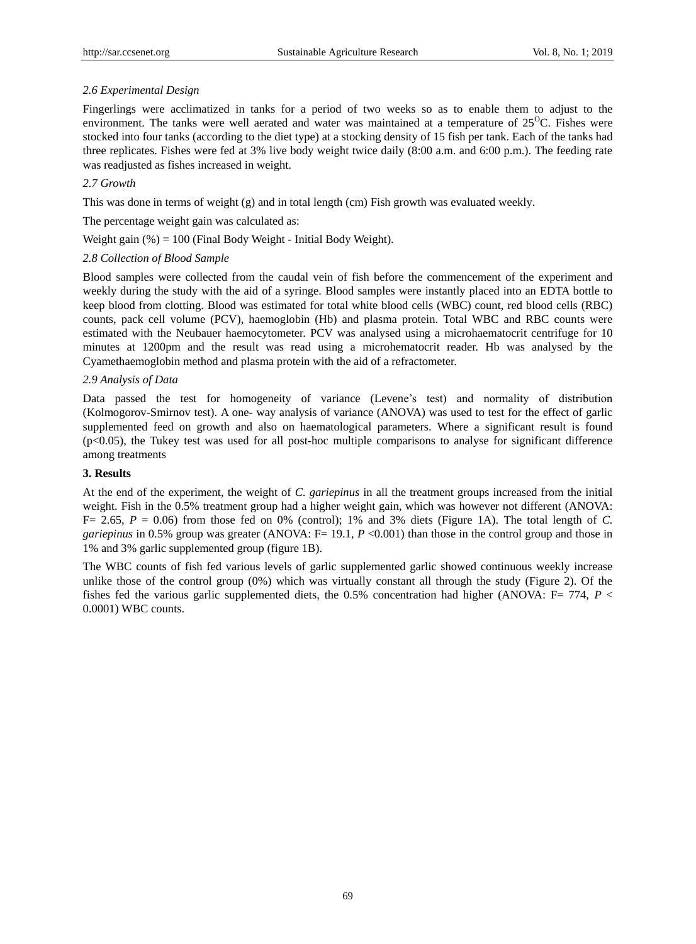## *2.6 Experimental Design*

Fingerlings were acclimatized in tanks for a period of two weeks so as to enable them to adjust to the environment. The tanks were well aerated and water was maintained at a temperature of  $25^{\circ}$ C. Fishes were stocked into four tanks (according to the diet type) at a stocking density of 15 fish per tank. Each of the tanks had three replicates. Fishes were fed at 3% live body weight twice daily (8:00 a.m. and 6:00 p.m.). The feeding rate was readjusted as fishes increased in weight.

## *2.7 Growth*

This was done in terms of weight (g) and in total length (cm) Fish growth was evaluated weekly.

The percentage weight gain was calculated as:

Weight gain  $(\%) = 100$  (Final Body Weight - Initial Body Weight).

## *2.8 Collection of Blood Sample*

Blood samples were collected from the caudal vein of fish before the commencement of the experiment and weekly during the study with the aid of a syringe. Blood samples were instantly placed into an EDTA bottle to keep blood from clotting. Blood was estimated for total white blood cells (WBC) count, red blood cells (RBC) counts, pack cell volume (PCV), haemoglobin (Hb) and plasma protein. Total WBC and RBC counts were estimated with the Neubauer haemocytometer. PCV was analysed using a microhaematocrit centrifuge for 10 minutes at 1200pm and the result was read using a microhematocrit reader. Hb was analysed by the Cyamethaemoglobin method and plasma protein with the aid of a refractometer.

## *2.9 Analysis of Data*

Data passed the test for homogeneity of variance (Levene's test) and normality of distribution (Kolmogorov-Smirnov test). A one- way analysis of variance (ANOVA) was used to test for the effect of garlic supplemented feed on growth and also on haematological parameters. Where a significant result is found (p<0.05), the Tukey test was used for all post-hoc multiple comparisons to analyse for significant difference among treatments

## **3. Results**

At the end of the experiment, the weight of *C. gariepinus* in all the treatment groups increased from the initial weight. Fish in the 0.5% treatment group had a higher weight gain, which was however not different (ANOVA:  $F= 2.65$ ,  $P = 0.06$ ) from those fed on 0% (control); 1% and 3% diets (Figure 1A). The total length of *C*. *gariepinus* in 0.5% group was greater (ANOVA: F= 19.1, *P* <0.001) than those in the control group and those in 1% and 3% garlic supplemented group (figure 1B).

The WBC counts of fish fed various levels of garlic supplemented garlic showed continuous weekly increase unlike those of the control group (0%) which was virtually constant all through the study (Figure 2). Of the fishes fed the various garlic supplemented diets, the 0.5% concentration had higher (ANOVA:  $F = 774$ ,  $P <$ 0.0001) WBC counts.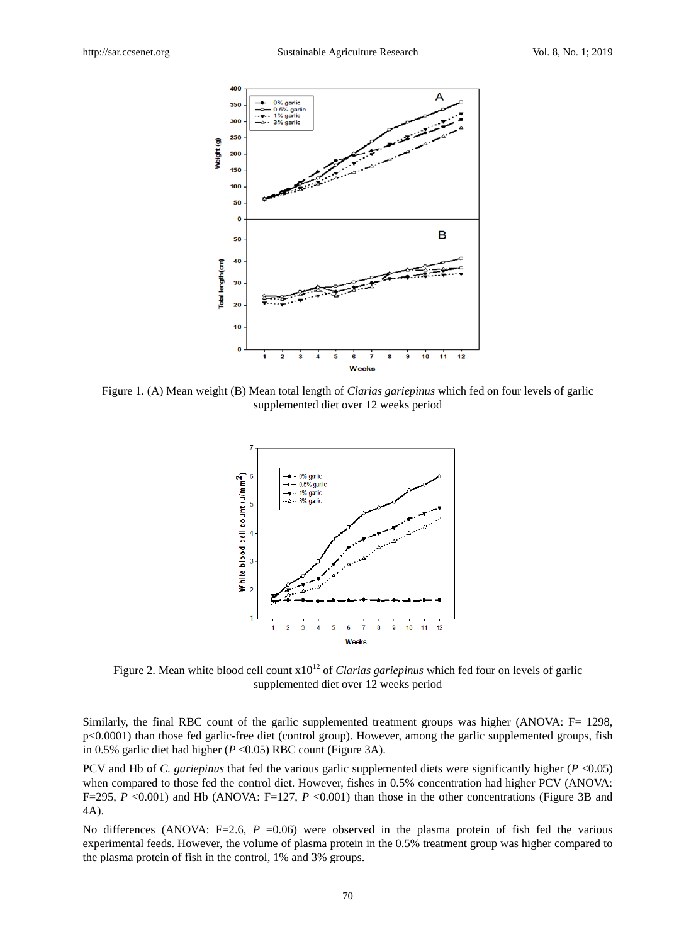

Figure 1. (A) Mean weight (B) Mean total length of *Clarias gariepinus* which fed on four levels of garlic supplemented diet over 12 weeks period



Figure 2. Mean white blood cell count  $x10^{12}$  of *Clarias gariepinus* which fed four on levels of garlic supplemented diet over 12 weeks period

Similarly, the final RBC count of the garlic supplemented treatment groups was higher (ANOVA: F= 1298, p<0.0001) than those fed garlic-free diet (control group). However, among the garlic supplemented groups, fish in 0.5% garlic diet had higher (*P* <0.05) RBC count (Figure 3A).

PCV and Hb of *C. gariepinus* that fed the various garlic supplemented diets were significantly higher (*P* <0.05) when compared to those fed the control diet. However, fishes in 0.5% concentration had higher PCV (ANOVA: F=295, *P* <0.001) and Hb (ANOVA: F=127, *P* <0.001) than those in the other concentrations (Figure 3B and 4A).

No differences (ANOVA: F=2.6, *P* =0.06) were observed in the plasma protein of fish fed the various experimental feeds. However, the volume of plasma protein in the 0.5% treatment group was higher compared to the plasma protein of fish in the control, 1% and 3% groups.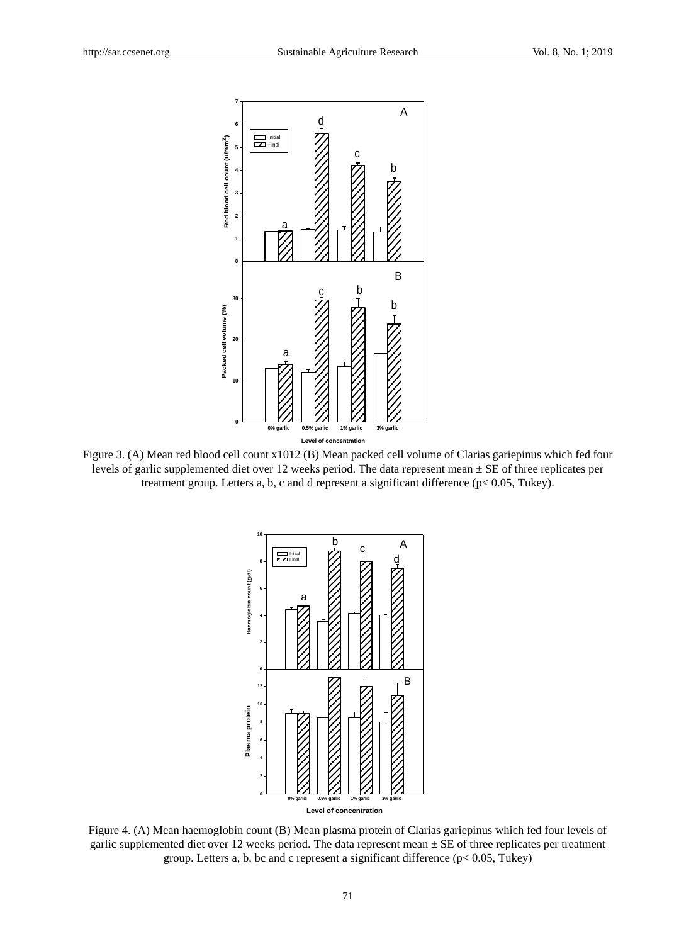

Figure 3. (A) Mean red blood cell count x1012 (B) Mean packed cell volume of Clarias gariepinus which fed four levels of garlic supplemented diet over 12 weeks period. The data represent mean ± SE of three replicates per treatment group. Letters a, b, c and d represent a significant difference (p< 0.05, Tukey).



Figure 4. (A) Mean haemoglobin count (B) Mean plasma protein of Clarias gariepinus which fed four levels of garlic supplemented diet over 12 weeks period. The data represent mean ± SE of three replicates per treatment group. Letters a, b, bc and c represent a significant difference (p< 0.05, Tukey)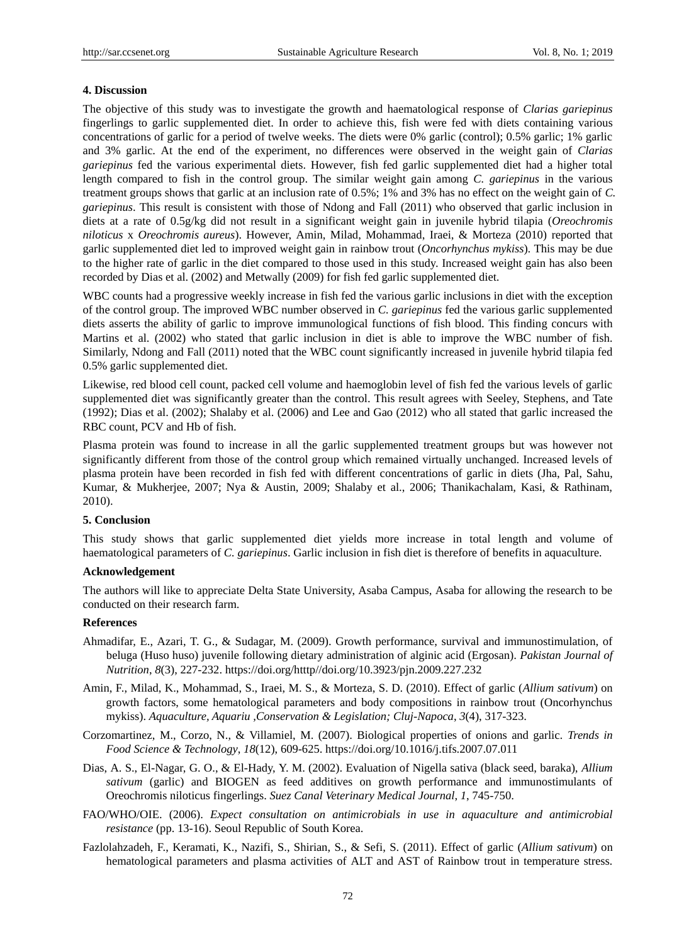#### **4. Discussion**

The objective of this study was to investigate the growth and haematological response of *Clarias gariepinus* fingerlings to garlic supplemented diet. In order to achieve this, fish were fed with diets containing various concentrations of garlic for a period of twelve weeks. The diets were 0% garlic (control); 0.5% garlic; 1% garlic and 3% garlic. At the end of the experiment, no differences were observed in the weight gain of *Clarias gariepinus* fed the various experimental diets. However, fish fed garlic supplemented diet had a higher total length compared to fish in the control group. The similar weight gain among *C. gariepinus* in the various treatment groups shows that garlic at an inclusion rate of 0.5%; 1% and 3% has no effect on the weight gain of *C. gariepinus*. This result is consistent with those of Ndong and Fall (2011) who observed that garlic inclusion in diets at a rate of 0.5g/kg did not result in a significant weight gain in juvenile hybrid tilapia (*Oreochromis niloticus* x *Oreochromis aureus*). However, Amin, Milad, Mohammad, Iraei, & Morteza (2010) reported that garlic supplemented diet led to improved weight gain in rainbow trout (*Oncorhynchus mykiss*). This may be due to the higher rate of garlic in the diet compared to those used in this study. Increased weight gain has also been recorded by Dias et al. (2002) and Metwally (2009) for fish fed garlic supplemented diet.

WBC counts had a progressive weekly increase in fish fed the various garlic inclusions in diet with the exception of the control group. The improved WBC number observed in *C. gariepinus* fed the various garlic supplemented diets asserts the ability of garlic to improve immunological functions of fish blood. This finding concurs with Martins et al. (2002) who stated that garlic inclusion in diet is able to improve the WBC number of fish. Similarly, Ndong and Fall (2011) noted that the WBC count significantly increased in juvenile hybrid tilapia fed 0.5% garlic supplemented diet.

Likewise, red blood cell count, packed cell volume and haemoglobin level of fish fed the various levels of garlic supplemented diet was significantly greater than the control. This result agrees with Seeley, Stephens, and Tate (1992); Dias et al. (2002); Shalaby et al. (2006) and Lee and Gao (2012) who all stated that garlic increased the RBC count, PCV and Hb of fish.

Plasma protein was found to increase in all the garlic supplemented treatment groups but was however not significantly different from those of the control group which remained virtually unchanged. Increased levels of plasma protein have been recorded in fish fed with different concentrations of garlic in diets (Jha, Pal, Sahu, Kumar, & Mukherjee, 2007; Nya & Austin, 2009; Shalaby et al., 2006; Thanikachalam, Kasi, & Rathinam, 2010).

## **5. Conclusion**

This study shows that garlic supplemented diet yields more increase in total length and volume of haematological parameters of *C. gariepinus*. Garlic inclusion in fish diet is therefore of benefits in aquaculture.

## **Acknowledgement**

The authors will like to appreciate Delta State University, Asaba Campus, Asaba for allowing the research to be conducted on their research farm.

## **References**

- Ahmadifar, E., Azari, T. G., & Sudagar, M. (2009). Growth performance, survival and immunostimulation, of beluga (Huso huso) juvenile following dietary administration of alginic acid (Ergosan). *Pakistan Journal of Nutrition*, *8*(3), 227-232. https://doi.org/htttp//doi.org/10.3923/pjn.2009.227.232
- Amin, F., Milad, K., Mohammad, S., Iraei, M. S., & Morteza, S. D. (2010). Effect of garlic (*Allium sativum*) on growth factors, some hematological parameters and body compositions in rainbow trout (Oncorhynchus mykiss). *Aquaculture, Aquariu ,Conservation & Legislation; Cluj-Napoca*, *3*(4), 317-323.
- Corzomartinez, M., Corzo, N., & Villamiel, M. (2007). Biological properties of onions and garlic. *Trends in Food Science & Technology*, *18*(12), 609-625. https://doi.org/10.1016/j.tifs.2007.07.011
- Dias, A. S., El-Nagar, G. O., & El-Hady, Y. M. (2002). Evaluation of Nigella sativa (black seed, baraka), *Allium sativum* (garlic) and BIOGEN as feed additives on growth performance and immunostimulants of Oreochromis niloticus fingerlings. *Suez Canal Veterinary Medical Journal*, *1*, 745-750.
- FAO/WHO/OIE. (2006). *Expect consultation on antimicrobials in use in aquaculture and antimicrobial resistance* (pp. 13-16). Seoul Republic of South Korea.
- Fazlolahzadeh, F., Keramati, K., Nazifi, S., Shirian, S., & Sefi, S. (2011). Effect of garlic (*Allium sativum*) on hematological parameters and plasma activities of ALT and AST of Rainbow trout in temperature stress.